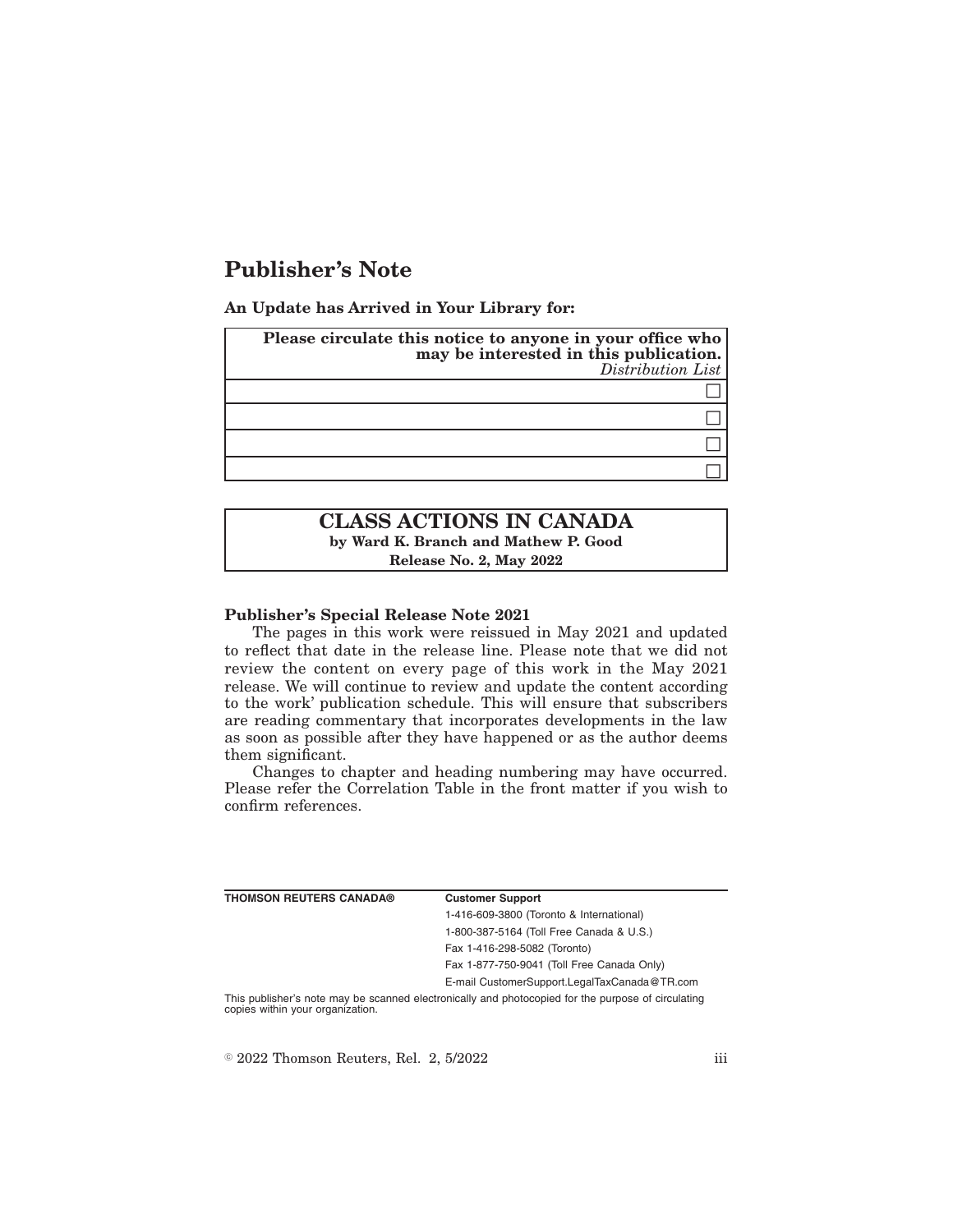# **Publisher's Note**

**An Update has Arrived in Your Library for:**

| Please circulate this notice to anyone in your office who<br>may be interested in this publication.<br>Distribution List |
|--------------------------------------------------------------------------------------------------------------------------|
|                                                                                                                          |
|                                                                                                                          |
|                                                                                                                          |
|                                                                                                                          |

## **CLASS ACTIONS IN CANADA by Ward K. Branch and Mathew P. Good Release No. 2, May 2022**

#### **Publisher's Special Release Note 2021**

The pages in this work were reissued in May 2021 and updated to reflect that date in the release line. Please note that we did not review the content on every page of this work in the May 2021 release. We will continue to review and update the content according to the work' publication schedule. This will ensure that subscribers are reading commentary that incorporates developments in the law as soon as possible after they have happened or as the author deems them significant.

Changes to chapter and heading numbering may have occurred. Please refer the Correlation Table in the front matter if you wish to confirm references.

| <b>THOMSON REUTERS CANADA®</b>   | <b>Customer Support</b>                                                                            |
|----------------------------------|----------------------------------------------------------------------------------------------------|
|                                  | 1-416-609-3800 (Toronto & International)                                                           |
|                                  | 1-800-387-5164 (Toll Free Canada & U.S.)                                                           |
|                                  | Fax 1-416-298-5082 (Toronto)                                                                       |
|                                  | Fax 1-877-750-9041 (Toll Free Canada Only)                                                         |
|                                  | E-mail CustomerSupport.LegalTaxCanada@TR.com                                                       |
| copies within your organization. | This publisher's note may be scanned electronically and photocopied for the purpose of circulating |

 $\degree$  2022 Thomson Reuters, Rel. 2, 5/2022 iii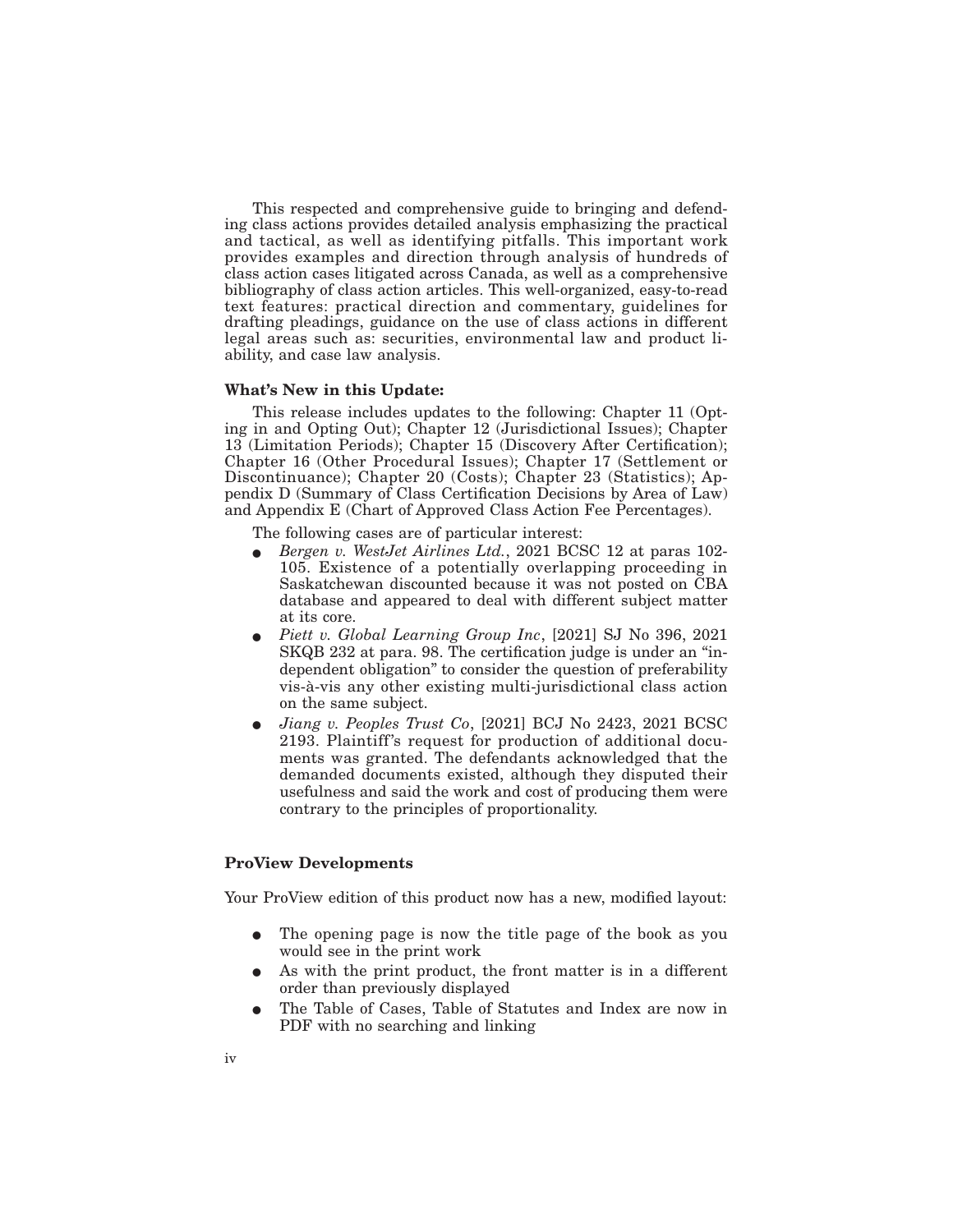This respected and comprehensive guide to bringing and defending class actions provides detailed analysis emphasizing the practical and tactical, as well as identifying pitfalls. This important work provides examples and direction through analysis of hundreds of class action cases litigated across Canada, as well as a comprehensive bibliography of class action articles. This well-organized, easy-to-read text features: practical direction and commentary, guidelines for drafting pleadings, guidance on the use of class actions in different legal areas such as: securities, environmental law and product liability, and case law analysis.

#### **What's New in this Update:**

This release includes updates to the following: Chapter 11 (Opting in and Opting Out); Chapter 12 (Jurisdictional Issues); Chapter 13 (Limitation Periods); Chapter 15 (Discovery After Certification); Chapter 16 (Other Procedural Issues); Chapter 17 (Settlement or Discontinuance); Chapter 20 (Costs); Chapter 23 (Statistics); Appendix D (Summary of Class Certification Decisions by Area of Law) and Appendix E (Chart of Approved Class Action Fee Percentages).

The following cases are of particular interest:

- E *Bergen v. WestJet Airlines Ltd.*, 2021 BCSC 12 at paras 102- 105. Existence of a potentially overlapping proceeding in Saskatchewan discounted because it was not posted on CBA database and appeared to deal with different subject matter at its core.
- E *Piett v. Global Learning Group Inc*, [2021] SJ No 396, 2021 SKQB 232 at para. 98. The certification judge is under an ''independent obligation'' to consider the question of preferability vis-à-vis any other existing multi-jurisdictional class action on the same subject.
- E *Jiang v. Peoples Trust Co*, [2021] BCJ No 2423, 2021 BCSC 2193. Plaintiff's request for production of additional documents was granted. The defendants acknowledged that the demanded documents existed, although they disputed their usefulness and said the work and cost of producing them were contrary to the principles of proportionality.

### **ProView Developments**

Your ProView edition of this product now has a new, modified layout:

- The opening page is now the title page of the book as you would see in the print work
- As with the print product, the front matter is in a different order than previously displayed
- The Table of Cases, Table of Statutes and Index are now in PDF with no searching and linking